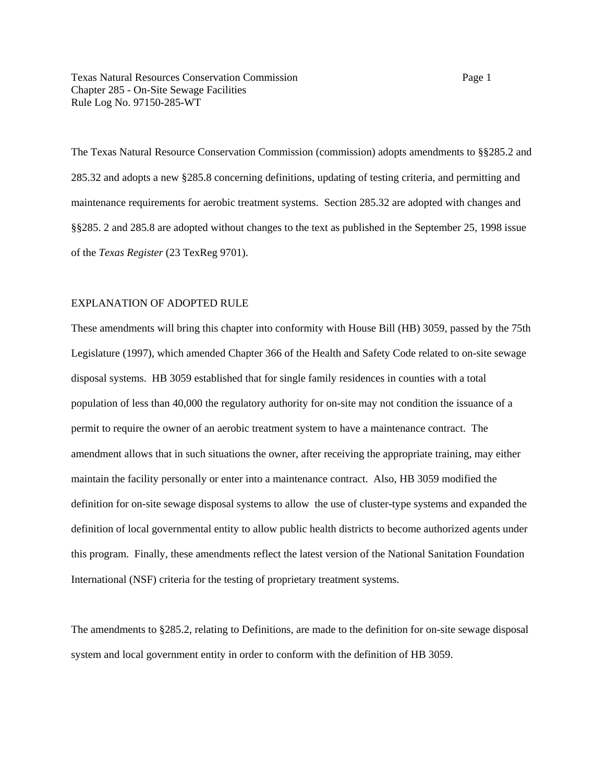Texas Natural Resources Conservation Commission Page 1 Chapter 285 - On-Site Sewage Facilities Rule Log No. 97150-285-WT

The Texas Natural Resource Conservation Commission (commission) adopts amendments to §§285.2 and 285.32 and adopts a new §285.8 concerning definitions, updating of testing criteria, and permitting and maintenance requirements for aerobic treatment systems. Section 285.32 are adopted with changes and §§285. 2 and 285.8 are adopted without changes to the text as published in the September 25, 1998 issue of the *Texas Register* (23 TexReg 9701).

#### EXPLANATION OF ADOPTED RULE

These amendments will bring this chapter into conformity with House Bill (HB) 3059, passed by the 75th Legislature (1997), which amended Chapter 366 of the Health and Safety Code related to on-site sewage disposal systems. HB 3059 established that for single family residences in counties with a total population of less than 40,000 the regulatory authority for on-site may not condition the issuance of a permit to require the owner of an aerobic treatment system to have a maintenance contract. The amendment allows that in such situations the owner, after receiving the appropriate training, may either maintain the facility personally or enter into a maintenance contract. Also, HB 3059 modified the definition for on-site sewage disposal systems to allow the use of cluster-type systems and expanded the definition of local governmental entity to allow public health districts to become authorized agents under this program. Finally, these amendments reflect the latest version of the National Sanitation Foundation International (NSF) criteria for the testing of proprietary treatment systems.

The amendments to §285.2, relating to Definitions, are made to the definition for on-site sewage disposal system and local government entity in order to conform with the definition of HB 3059.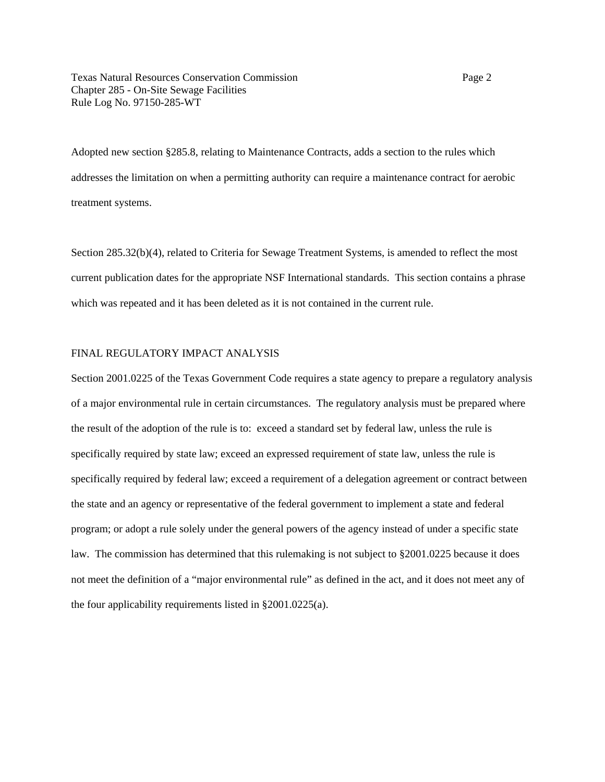Texas Natural Resources Conservation Commission Page 2 Chapter 285 - On-Site Sewage Facilities Rule Log No. 97150-285-WT

Adopted new section §285.8, relating to Maintenance Contracts, adds a section to the rules which addresses the limitation on when a permitting authority can require a maintenance contract for aerobic treatment systems.

Section 285.32(b)(4), related to Criteria for Sewage Treatment Systems, is amended to reflect the most current publication dates for the appropriate NSF International standards. This section contains a phrase which was repeated and it has been deleted as it is not contained in the current rule.

# FINAL REGULATORY IMPACT ANALYSIS

Section 2001.0225 of the Texas Government Code requires a state agency to prepare a regulatory analysis of a major environmental rule in certain circumstances. The regulatory analysis must be prepared where the result of the adoption of the rule is to: exceed a standard set by federal law, unless the rule is specifically required by state law; exceed an expressed requirement of state law, unless the rule is specifically required by federal law; exceed a requirement of a delegation agreement or contract between the state and an agency or representative of the federal government to implement a state and federal program; or adopt a rule solely under the general powers of the agency instead of under a specific state law. The commission has determined that this rulemaking is not subject to §2001.0225 because it does not meet the definition of a "major environmental rule" as defined in the act, and it does not meet any of the four applicability requirements listed in §2001.0225(a).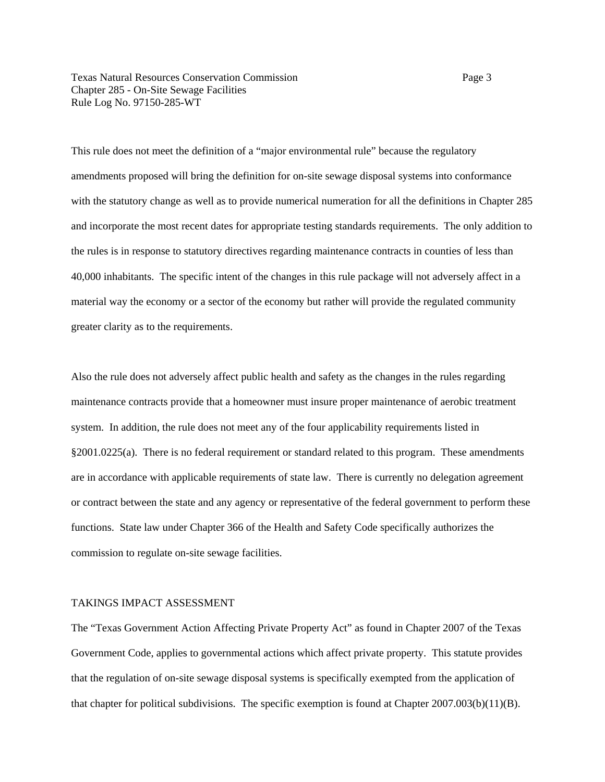Texas Natural Resources Conservation Commission Page 3 Chapter 285 - On-Site Sewage Facilities Rule Log No. 97150-285-WT

This rule does not meet the definition of a "major environmental rule" because the regulatory amendments proposed will bring the definition for on-site sewage disposal systems into conformance with the statutory change as well as to provide numerical numeration for all the definitions in Chapter 285 and incorporate the most recent dates for appropriate testing standards requirements. The only addition to the rules is in response to statutory directives regarding maintenance contracts in counties of less than 40,000 inhabitants. The specific intent of the changes in this rule package will not adversely affect in a material way the economy or a sector of the economy but rather will provide the regulated community greater clarity as to the requirements.

Also the rule does not adversely affect public health and safety as the changes in the rules regarding maintenance contracts provide that a homeowner must insure proper maintenance of aerobic treatment system. In addition, the rule does not meet any of the four applicability requirements listed in  $§2001.0225(a)$ . There is no federal requirement or standard related to this program. These amendments are in accordance with applicable requirements of state law. There is currently no delegation agreement or contract between the state and any agency or representative of the federal government to perform these functions. State law under Chapter 366 of the Health and Safety Code specifically authorizes the commission to regulate on-site sewage facilities.

## TAKINGS IMPACT ASSESSMENT

The "Texas Government Action Affecting Private Property Act" as found in Chapter 2007 of the Texas Government Code, applies to governmental actions which affect private property. This statute provides that the regulation of on-site sewage disposal systems is specifically exempted from the application of that chapter for political subdivisions. The specific exemption is found at Chapter 2007.003(b)(11)(B).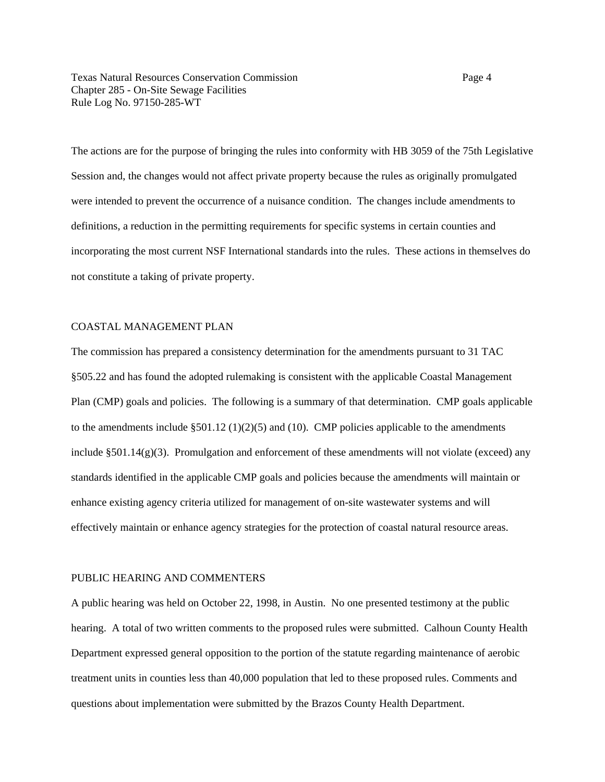Texas Natural Resources Conservation Commission Page 4 Chapter 285 - On-Site Sewage Facilities Rule Log No. 97150-285-WT

The actions are for the purpose of bringing the rules into conformity with HB 3059 of the 75th Legislative Session and, the changes would not affect private property because the rules as originally promulgated were intended to prevent the occurrence of a nuisance condition. The changes include amendments to definitions, a reduction in the permitting requirements for specific systems in certain counties and incorporating the most current NSF International standards into the rules. These actions in themselves do not constitute a taking of private property.

# COASTAL MANAGEMENT PLAN

The commission has prepared a consistency determination for the amendments pursuant to 31 TAC §505.22 and has found the adopted rulemaking is consistent with the applicable Coastal Management Plan (CMP) goals and policies. The following is a summary of that determination. CMP goals applicable to the amendments include  $\S 501.12 (1)(2)(5)$  and (10). CMP policies applicable to the amendments include  $\S 501.14(g)(3)$ . Promulgation and enforcement of these amendments will not violate (exceed) any standards identified in the applicable CMP goals and policies because the amendments will maintain or enhance existing agency criteria utilized for management of on-site wastewater systems and will effectively maintain or enhance agency strategies for the protection of coastal natural resource areas.

## PUBLIC HEARING AND COMMENTERS

A public hearing was held on October 22, 1998, in Austin. No one presented testimony at the public hearing. A total of two written comments to the proposed rules were submitted. Calhoun County Health Department expressed general opposition to the portion of the statute regarding maintenance of aerobic treatment units in counties less than 40,000 population that led to these proposed rules. Comments and questions about implementation were submitted by the Brazos County Health Department.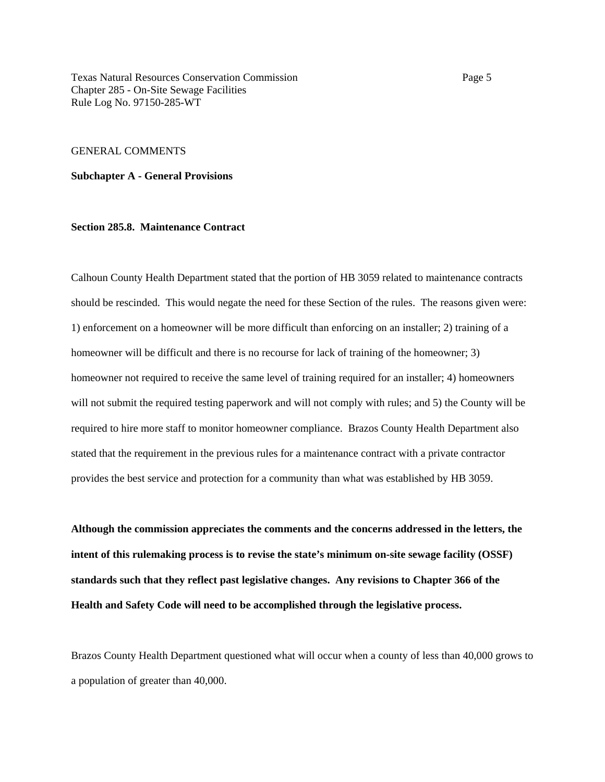Texas Natural Resources Conservation Commission Page 5 Chapter 285 - On-Site Sewage Facilities Rule Log No. 97150-285-WT

## GENERAL COMMENTS

**Subchapter A - General Provisions**

## **Section 285.8. Maintenance Contract**

Calhoun County Health Department stated that the portion of HB 3059 related to maintenance contracts should be rescinded. This would negate the need for these Section of the rules. The reasons given were: 1) enforcement on a homeowner will be more difficult than enforcing on an installer; 2) training of a homeowner will be difficult and there is no recourse for lack of training of the homeowner; 3) homeowner not required to receive the same level of training required for an installer; 4) homeowners will not submit the required testing paperwork and will not comply with rules; and 5) the County will be required to hire more staff to monitor homeowner compliance. Brazos County Health Department also stated that the requirement in the previous rules for a maintenance contract with a private contractor provides the best service and protection for a community than what was established by HB 3059.

**Although the commission appreciates the comments and the concerns addressed in the letters, the intent of this rulemaking process is to revise the state's minimum on-site sewage facility (OSSF) standards such that they reflect past legislative changes. Any revisions to Chapter 366 of the Health and Safety Code will need to be accomplished through the legislative process.**

Brazos County Health Department questioned what will occur when a county of less than 40,000 grows to a population of greater than 40,000.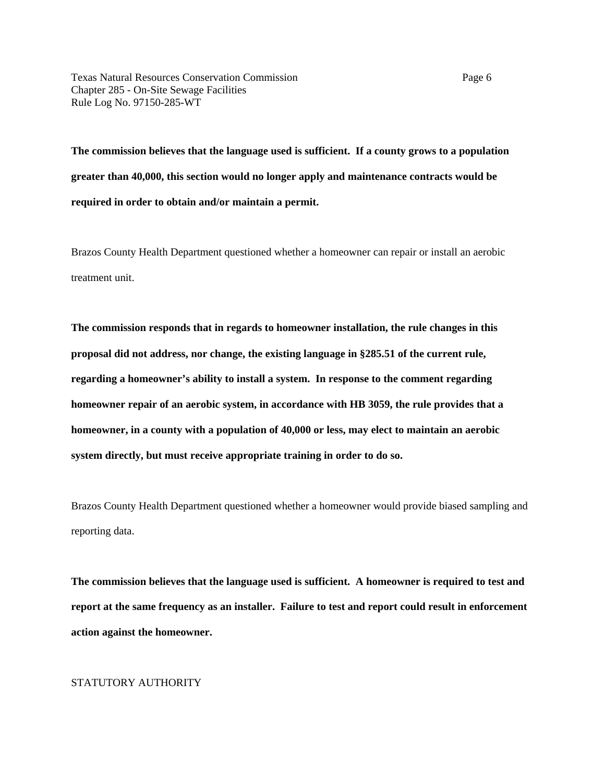Texas Natural Resources Conservation Commission Page 6 Chapter 285 - On-Site Sewage Facilities Rule Log No. 97150-285-WT

**The commission believes that the language used is sufficient. If a county grows to a population greater than 40,000, this section would no longer apply and maintenance contracts would be required in order to obtain and/or maintain a permit.** 

Brazos County Health Department questioned whether a homeowner can repair or install an aerobic treatment unit.

**The commission responds that in regards to homeowner installation, the rule changes in this proposal did not address, nor change, the existing language in §285.51 of the current rule, regarding a homeowner's ability to install a system. In response to the comment regarding homeowner repair of an aerobic system, in accordance with HB 3059, the rule provides that a homeowner, in a county with a population of 40,000 or less, may elect to maintain an aerobic system directly, but must receive appropriate training in order to do so.** 

Brazos County Health Department questioned whether a homeowner would provide biased sampling and reporting data.

**The commission believes that the language used is sufficient. A homeowner is required to test and report at the same frequency as an installer. Failure to test and report could result in enforcement action against the homeowner.**

### STATUTORY AUTHORITY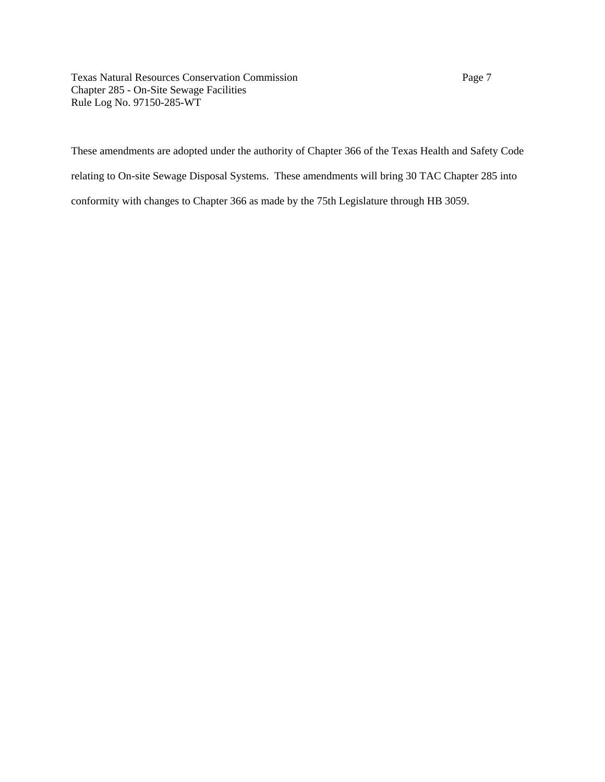Texas Natural Resources Conservation Commission Page 7 Chapter 285 - On-Site Sewage Facilities Rule Log No. 97150-285-WT

These amendments are adopted under the authority of Chapter 366 of the Texas Health and Safety Code relating to On-site Sewage Disposal Systems. These amendments will bring 30 TAC Chapter 285 into conformity with changes to Chapter 366 as made by the 75th Legislature through HB 3059.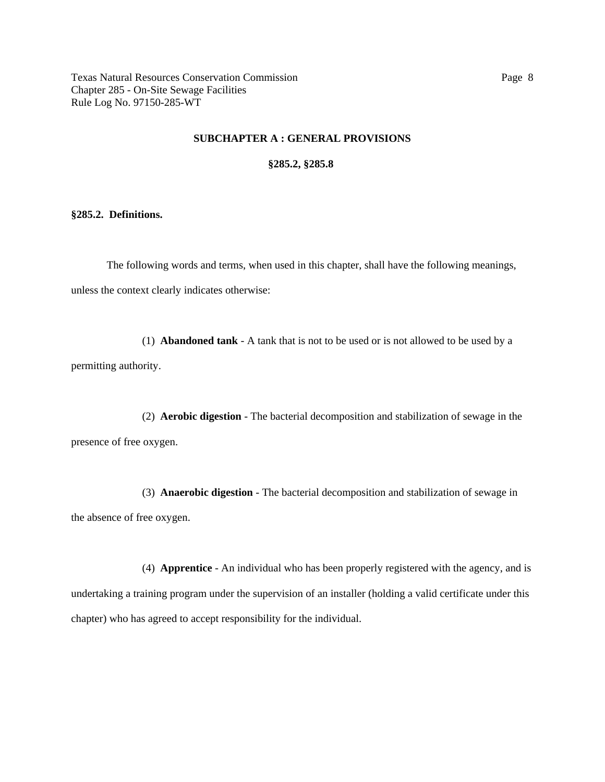## **SUBCHAPTER A : GENERAL PROVISIONS**

#### **§285.2, §285.8**

## **§285.2. Definitions.**

The following words and terms, when used in this chapter, shall have the following meanings, unless the context clearly indicates otherwise:

(1) **Abandoned tank** - A tank that is not to be used or is not allowed to be used by a permitting authority.

(2) **Aerobic digestion** - The bacterial decomposition and stabilization of sewage in the presence of free oxygen.

(3) **Anaerobic digestion** - The bacterial decomposition and stabilization of sewage in the absence of free oxygen.

(4) **Apprentice** - An individual who has been properly registered with the agency, and is undertaking a training program under the supervision of an installer (holding a valid certificate under this chapter) who has agreed to accept responsibility for the individual.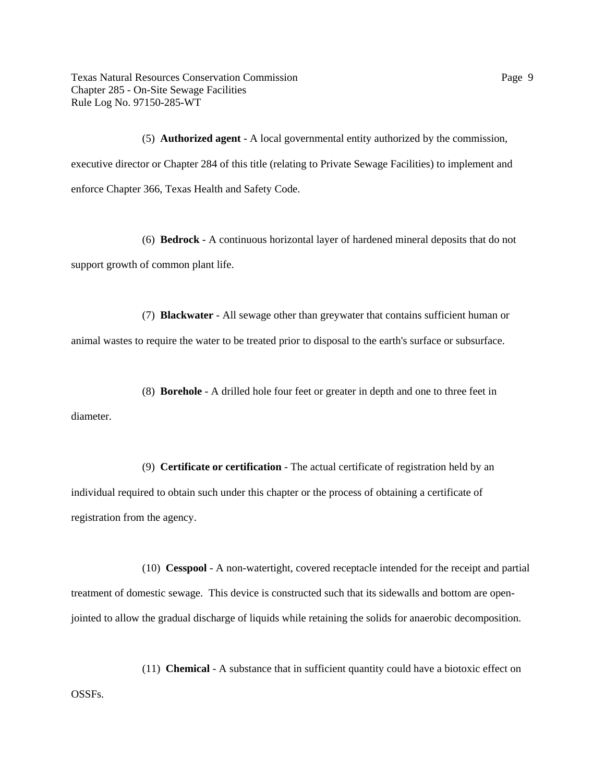Texas Natural Resources Conservation Commission Page 9 Chapter 285 - On-Site Sewage Facilities Rule Log No. 97150-285-WT

(5) **Authorized agent** - A local governmental entity authorized by the commission, executive director or Chapter 284 of this title (relating to Private Sewage Facilities) to implement and enforce Chapter 366, Texas Health and Safety Code.

(6) **Bedrock** - A continuous horizontal layer of hardened mineral deposits that do not support growth of common plant life.

(7) **Blackwater** - All sewage other than greywater that contains sufficient human or animal wastes to require the water to be treated prior to disposal to the earth's surface or subsurface.

(8) **Borehole** - A drilled hole four feet or greater in depth and one to three feet in diameter.

(9) **Certificate or certification** - The actual certificate of registration held by an individual required to obtain such under this chapter or the process of obtaining a certificate of registration from the agency.

(10) **Cesspool** - A non-watertight, covered receptacle intended for the receipt and partial treatment of domestic sewage. This device is constructed such that its sidewalls and bottom are openjointed to allow the gradual discharge of liquids while retaining the solids for anaerobic decomposition.

(11) **Chemical** - A substance that in sufficient quantity could have a biotoxic effect on OSSFs.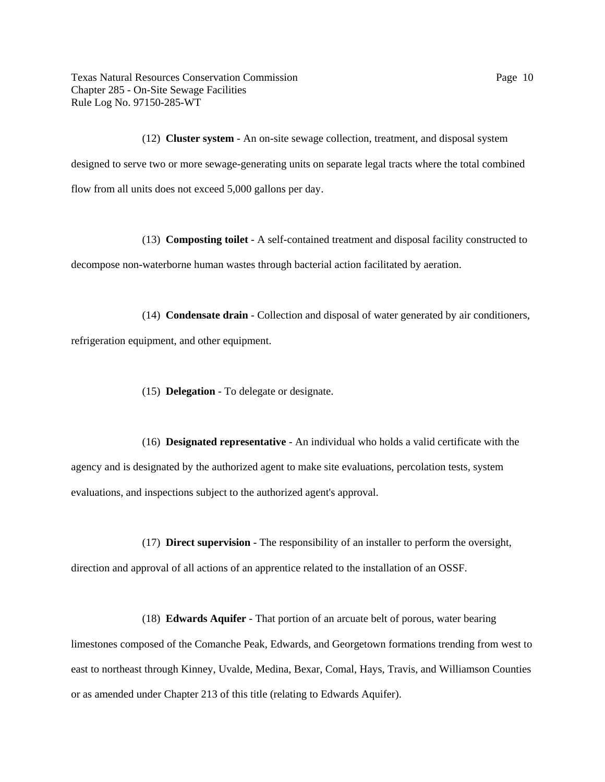Texas Natural Resources Conservation Commission Page 10 Chapter 285 - On-Site Sewage Facilities Rule Log No. 97150-285-WT

(12) **Cluster system** - An on-site sewage collection, treatment, and disposal system designed to serve two or more sewage-generating units on separate legal tracts where the total combined flow from all units does not exceed 5,000 gallons per day.

(13) **Composting toilet** - A self-contained treatment and disposal facility constructed to decompose non-waterborne human wastes through bacterial action facilitated by aeration.

(14) **Condensate drain** - Collection and disposal of water generated by air conditioners, refrigeration equipment, and other equipment.

(15) **Delegation** - To delegate or designate.

(16) **Designated representative** - An individual who holds a valid certificate with the agency and is designated by the authorized agent to make site evaluations, percolation tests, system evaluations, and inspections subject to the authorized agent's approval.

(17) **Direct supervision** - The responsibility of an installer to perform the oversight,

direction and approval of all actions of an apprentice related to the installation of an OSSF.

(18) **Edwards Aquifer** - That portion of an arcuate belt of porous, water bearing

limestones composed of the Comanche Peak, Edwards, and Georgetown formations trending from west to east to northeast through Kinney, Uvalde, Medina, Bexar, Comal, Hays, Travis, and Williamson Counties or as amended under Chapter 213 of this title (relating to Edwards Aquifer).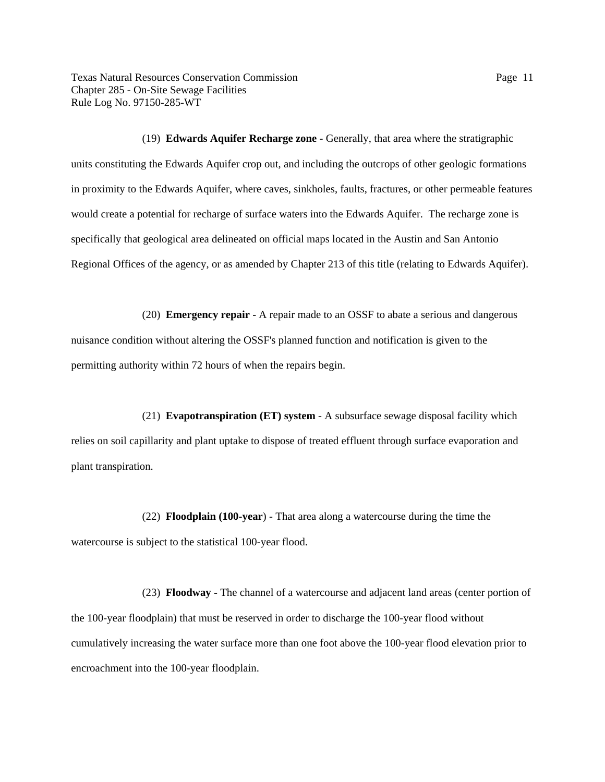(19) **Edwards Aquifer Recharge zone** - Generally, that area where the stratigraphic units constituting the Edwards Aquifer crop out, and including the outcrops of other geologic formations in proximity to the Edwards Aquifer, where caves, sinkholes, faults, fractures, or other permeable features would create a potential for recharge of surface waters into the Edwards Aquifer. The recharge zone is specifically that geological area delineated on official maps located in the Austin and San Antonio Regional Offices of the agency, or as amended by Chapter 213 of this title (relating to Edwards Aquifer).

(20) **Emergency repair** - A repair made to an OSSF to abate a serious and dangerous nuisance condition without altering the OSSF's planned function and notification is given to the permitting authority within 72 hours of when the repairs begin.

(21) **Evapotranspiration (ET) system** - A subsurface sewage disposal facility which relies on soil capillarity and plant uptake to dispose of treated effluent through surface evaporation and plant transpiration.

(22) **Floodplain (100-year**) - That area along a watercourse during the time the watercourse is subject to the statistical 100-year flood.

(23) **Floodway** - The channel of a watercourse and adjacent land areas (center portion of the 100-year floodplain) that must be reserved in order to discharge the 100-year flood without cumulatively increasing the water surface more than one foot above the 100-year flood elevation prior to encroachment into the 100-year floodplain.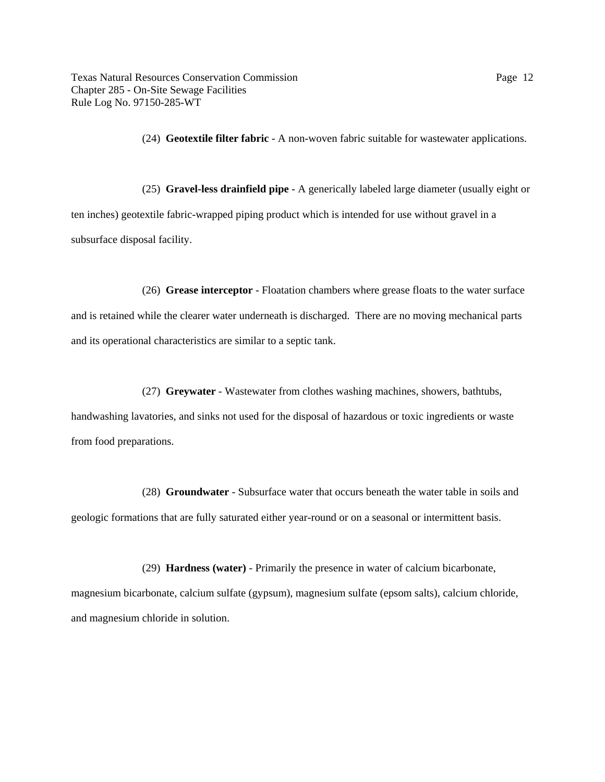(24) **Geotextile filter fabric** - A non-woven fabric suitable for wastewater applications.

(25) **Gravel-less drainfield pipe** - A generically labeled large diameter (usually eight or ten inches) geotextile fabric-wrapped piping product which is intended for use without gravel in a subsurface disposal facility.

(26) **Grease interceptor** - Floatation chambers where grease floats to the water surface and is retained while the clearer water underneath is discharged. There are no moving mechanical parts and its operational characteristics are similar to a septic tank.

(27) **Greywater** - Wastewater from clothes washing machines, showers, bathtubs, handwashing lavatories, and sinks not used for the disposal of hazardous or toxic ingredients or waste from food preparations.

(28) **Groundwater** - Subsurface water that occurs beneath the water table in soils and geologic formations that are fully saturated either year-round or on a seasonal or intermittent basis.

(29) **Hardness (water)** - Primarily the presence in water of calcium bicarbonate, magnesium bicarbonate, calcium sulfate (gypsum), magnesium sulfate (epsom salts), calcium chloride, and magnesium chloride in solution.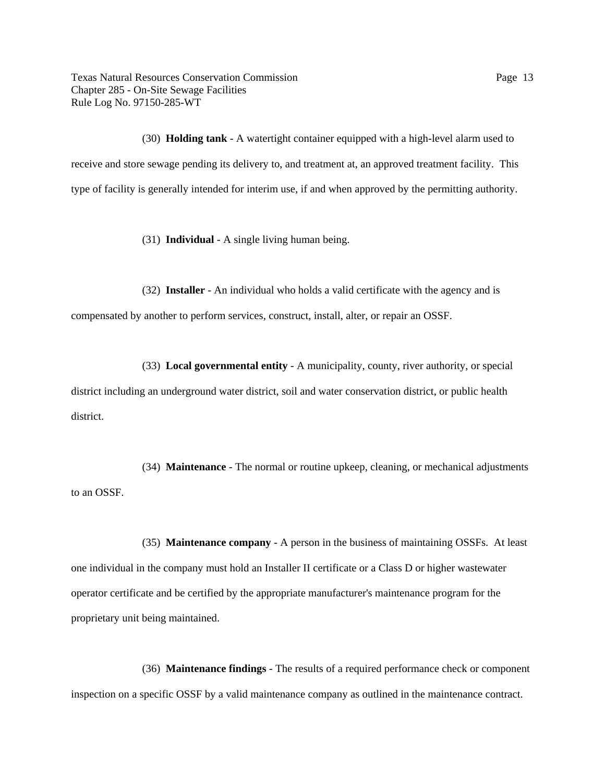Texas Natural Resources Conservation Commission Page 13 Chapter 285 - On-Site Sewage Facilities Rule Log No. 97150-285-WT

(30) **Holding tank** - A watertight container equipped with a high-level alarm used to receive and store sewage pending its delivery to, and treatment at, an approved treatment facility. This type of facility is generally intended for interim use, if and when approved by the permitting authority.

(31) **Individual** - A single living human being.

(32) **Installer** - An individual who holds a valid certificate with the agency and is compensated by another to perform services, construct, install, alter, or repair an OSSF.

(33) **Local governmental entity** - A municipality, county, river authority, or special district including an underground water district, soil and water conservation district, or public health district.

(34) **Maintenance** - The normal or routine upkeep, cleaning, or mechanical adjustments to an OSSF.

(35) **Maintenance company** - A person in the business of maintaining OSSFs. At least one individual in the company must hold an Installer II certificate or a Class D or higher wastewater operator certificate and be certified by the appropriate manufacturer's maintenance program for the proprietary unit being maintained.

(36) **Maintenance findings** - The results of a required performance check or component inspection on a specific OSSF by a valid maintenance company as outlined in the maintenance contract.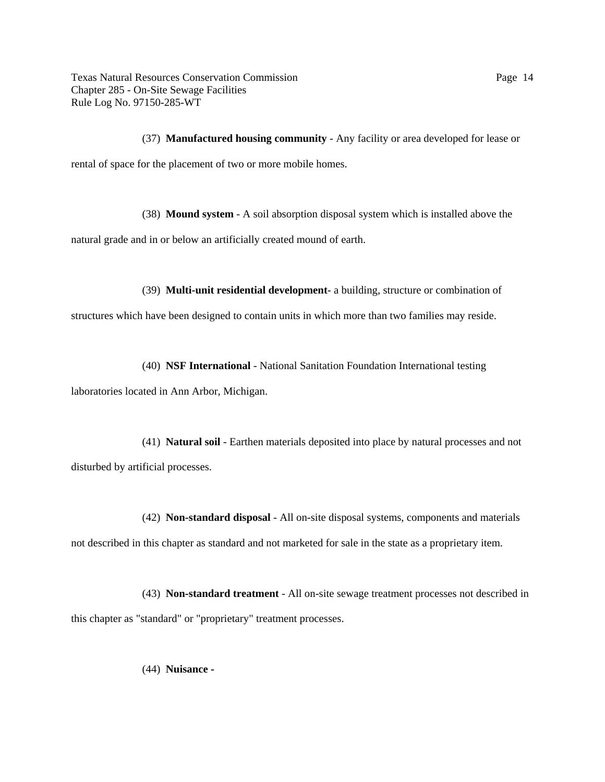(37) **Manufactured housing community** - Any facility or area developed for lease or

rental of space for the placement of two or more mobile homes.

(38) **Mound system** - A soil absorption disposal system which is installed above the

natural grade and in or below an artificially created mound of earth.

(39) **Multi-unit residential development**- a building, structure or combination of

structures which have been designed to contain units in which more than two families may reside.

(40) **NSF International** - National Sanitation Foundation International testing

laboratories located in Ann Arbor, Michigan.

(41) **Natural soil** - Earthen materials deposited into place by natural processes and not disturbed by artificial processes.

(42) **Non-standard disposal** - All on-site disposal systems, components and materials not described in this chapter as standard and not marketed for sale in the state as a proprietary item.

(43) **Non-standard treatment** - All on-site sewage treatment processes not described in this chapter as "standard" or "proprietary" treatment processes.

(44) **Nuisance -**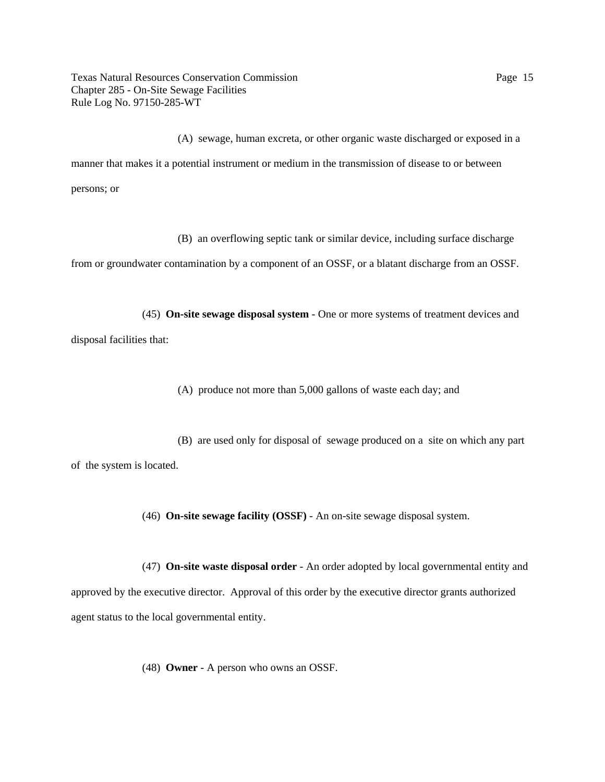Texas Natural Resources Conservation Commission Page 15 Chapter 285 - On-Site Sewage Facilities Rule Log No. 97150-285-WT

(A) sewage, human excreta, or other organic waste discharged or exposed in a manner that makes it a potential instrument or medium in the transmission of disease to or between persons; or

(B) an overflowing septic tank or similar device, including surface discharge

from or groundwater contamination by a component of an OSSF, or a blatant discharge from an OSSF.

(45) **On-site sewage disposal system** - One or more systems of treatment devices and

disposal facilities that:

(A) produce not more than 5,000 gallons of waste each day; and

(B) are used only for disposal of sewage produced on a site on which any part of the system is located.

(46) **On-site sewage facility (OSSF)** - An on-site sewage disposal system.

(47) **On-site waste disposal order** - An order adopted by local governmental entity and approved by the executive director. Approval of this order by the executive director grants authorized agent status to the local governmental entity.

(48) **Owner** - A person who owns an OSSF.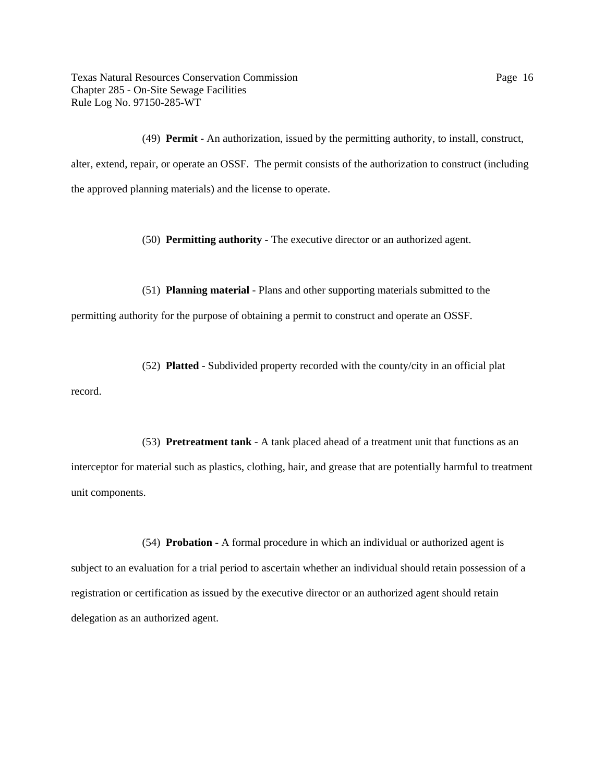Texas Natural Resources Conservation Commission Page 16 Chapter 285 - On-Site Sewage Facilities Rule Log No. 97150-285-WT

(49) **Permit** - An authorization, issued by the permitting authority, to install, construct, alter, extend, repair, or operate an OSSF. The permit consists of the authorization to construct (including the approved planning materials) and the license to operate.

(50) **Permitting authority** - The executive director or an authorized agent.

(51) **Planning material** - Plans and other supporting materials submitted to the

permitting authority for the purpose of obtaining a permit to construct and operate an OSSF.

(52) **Platted** - Subdivided property recorded with the county/city in an official plat record.

(53) **Pretreatment tank** - A tank placed ahead of a treatment unit that functions as an interceptor for material such as plastics, clothing, hair, and grease that are potentially harmful to treatment unit components.

(54) **Probation** - A formal procedure in which an individual or authorized agent is subject to an evaluation for a trial period to ascertain whether an individual should retain possession of a registration or certification as issued by the executive director or an authorized agent should retain delegation as an authorized agent.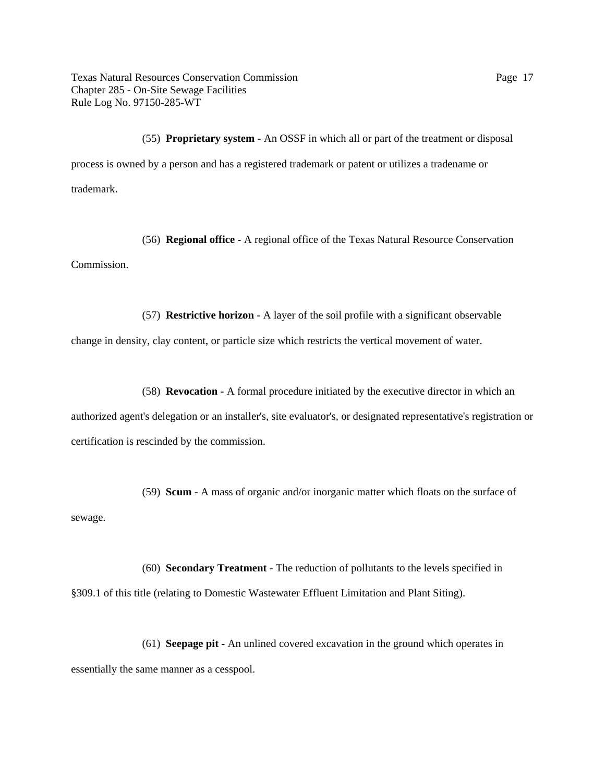Texas Natural Resources Conservation Commission Page 17 Chapter 285 - On-Site Sewage Facilities Rule Log No. 97150-285-WT

(55) **Proprietary system** - An OSSF in which all or part of the treatment or disposal process is owned by a person and has a registered trademark or patent or utilizes a tradename or trademark.

(56) **Regional office** - A regional office of the Texas Natural Resource Conservation Commission.

(57) **Restrictive horizon** - A layer of the soil profile with a significant observable

change in density, clay content, or particle size which restricts the vertical movement of water.

(58) **Revocation** - A formal procedure initiated by the executive director in which an

authorized agent's delegation or an installer's, site evaluator's, or designated representative's registration or certification is rescinded by the commission.

(59) **Scum** - A mass of organic and/or inorganic matter which floats on the surface of

sewage.

(60) **Secondary Treatment** - The reduction of pollutants to the levels specified in §309.1 of this title (relating to Domestic Wastewater Effluent Limitation and Plant Siting).

(61) **Seepage pit** - An unlined covered excavation in the ground which operates in essentially the same manner as a cesspool.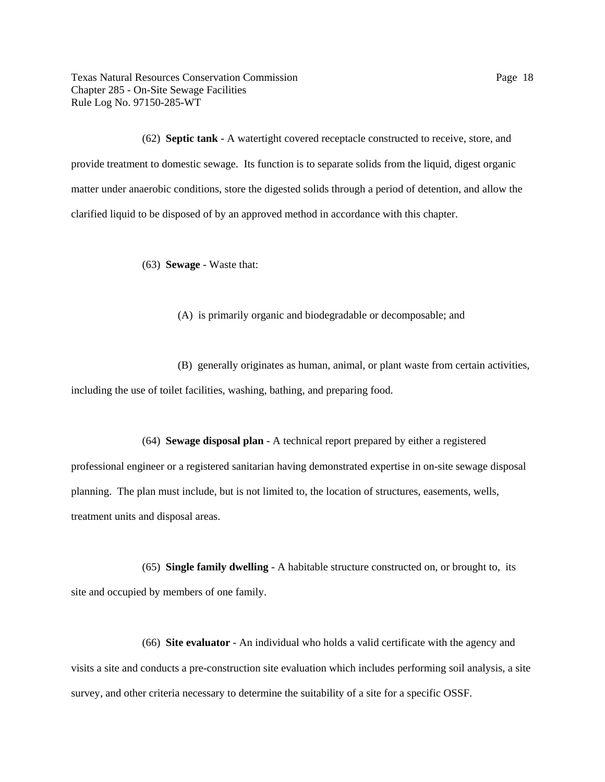Texas Natural Resources Conservation Commission Page 18 Chapter 285 - On-Site Sewage Facilities Rule Log No. 97150-285-WT

(62) **Septic tank** - A watertight covered receptacle constructed to receive, store, and provide treatment to domestic sewage. Its function is to separate solids from the liquid, digest organic matter under anaerobic conditions, store the digested solids through a period of detention, and allow the clarified liquid to be disposed of by an approved method in accordance with this chapter.

(63) **Sewage** - Waste that:

(A) is primarily organic and biodegradable or decomposable; and

(B) generally originates as human, animal, or plant waste from certain activities, including the use of toilet facilities, washing, bathing, and preparing food.

(64) **Sewage disposal plan** - A technical report prepared by either a registered professional engineer or a registered sanitarian having demonstrated expertise in on-site sewage disposal planning. The plan must include, but is not limited to, the location of structures, easements, wells, treatment units and disposal areas.

(65) **Single family dwelling** - A habitable structure constructed on, or brought to, its site and occupied by members of one family.

(66) **Site evaluator** - An individual who holds a valid certificate with the agency and visits a site and conducts a pre-construction site evaluation which includes performing soil analysis, a site survey, and other criteria necessary to determine the suitability of a site for a specific OSSF.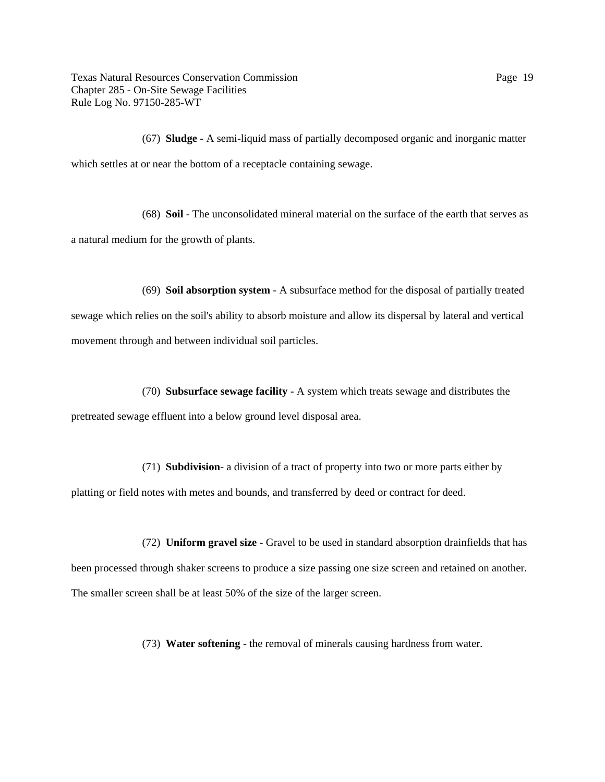(67) **Sludge** - A semi-liquid mass of partially decomposed organic and inorganic matter which settles at or near the bottom of a receptacle containing sewage.

(68) **Soil** - The unconsolidated mineral material on the surface of the earth that serves as a natural medium for the growth of plants.

(69) **Soil absorption system** - A subsurface method for the disposal of partially treated sewage which relies on the soil's ability to absorb moisture and allow its dispersal by lateral and vertical movement through and between individual soil particles.

(70) **Subsurface sewage facility** - A system which treats sewage and distributes the pretreated sewage effluent into a below ground level disposal area.

(71) **Subdivision**- a division of a tract of property into two or more parts either by platting or field notes with metes and bounds, and transferred by deed or contract for deed.

(72) **Uniform gravel size** - Gravel to be used in standard absorption drainfields that has been processed through shaker screens to produce a size passing one size screen and retained on another. The smaller screen shall be at least 50% of the size of the larger screen.

(73) **Water softening** - the removal of minerals causing hardness from water.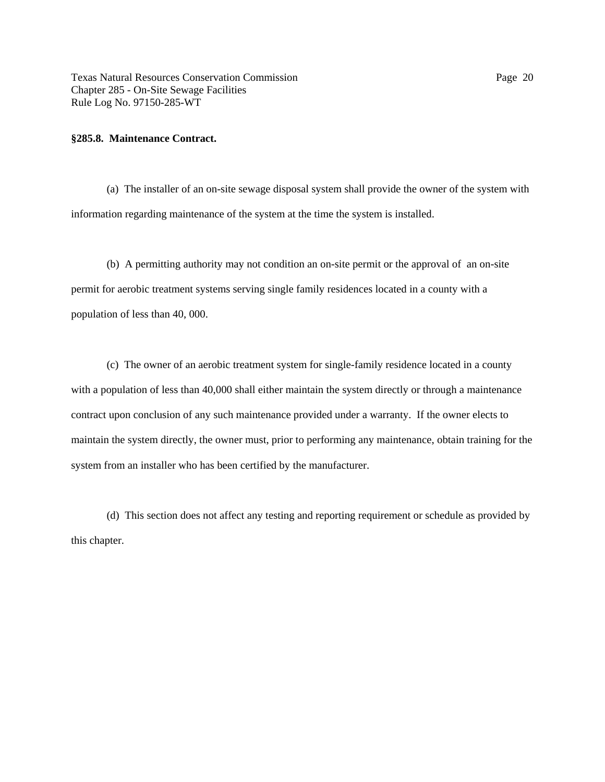#### **§285.8. Maintenance Contract.**

(a) The installer of an on-site sewage disposal system shall provide the owner of the system with information regarding maintenance of the system at the time the system is installed.

(b) A permitting authority may not condition an on-site permit or the approval of an on-site permit for aerobic treatment systems serving single family residences located in a county with a population of less than 40, 000.

(c) The owner of an aerobic treatment system for single-family residence located in a county with a population of less than 40,000 shall either maintain the system directly or through a maintenance contract upon conclusion of any such maintenance provided under a warranty. If the owner elects to maintain the system directly, the owner must, prior to performing any maintenance, obtain training for the system from an installer who has been certified by the manufacturer.

(d) This section does not affect any testing and reporting requirement or schedule as provided by this chapter.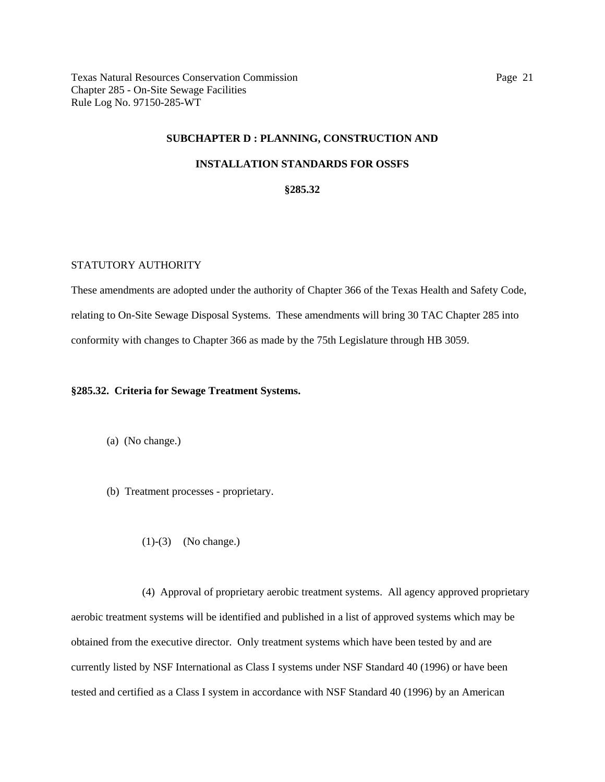### **SUBCHAPTER D : PLANNING, CONSTRUCTION AND**

# **INSTALLATION STANDARDS FOR OSSFS**

#### **§285.32**

## STATUTORY AUTHORITY

These amendments are adopted under the authority of Chapter 366 of the Texas Health and Safety Code, relating to On-Site Sewage Disposal Systems. These amendments will bring 30 TAC Chapter 285 into conformity with changes to Chapter 366 as made by the 75th Legislature through HB 3059.

## **§285.32. Criteria for Sewage Treatment Systems.**

(a) (No change.)

(b) Treatment processes - proprietary.

(1)-(3) (No change.)

(4) Approval of proprietary aerobic treatment systems. All agency approved proprietary aerobic treatment systems will be identified and published in a list of approved systems which may be obtained from the executive director. Only treatment systems which have been tested by and are currently listed by NSF International as Class I systems under NSF Standard 40 (1996) or have been tested and certified as a Class I system in accordance with NSF Standard 40 (1996) by an American